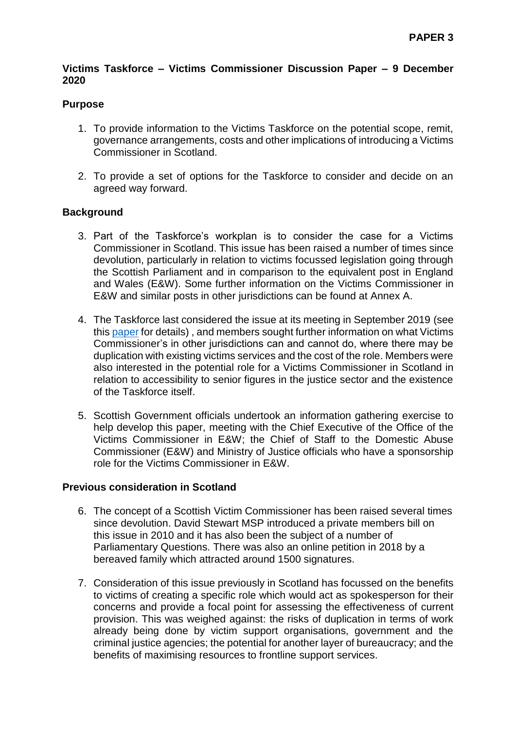## **Victims Taskforce – Victims Commissioner Discussion Paper – 9 December 2020**

## **Purpose**

- 1. To provide information to the Victims Taskforce on the potential scope, remit, governance arrangements, costs and other implications of introducing a Victims Commissioner in Scotland.
- 2. To provide a set of options for the Taskforce to consider and decide on an agreed way forward.

## **Background**

- 3. Part of the Taskforce's workplan is to consider the case for a Victims Commissioner in Scotland. This issue has been raised a number of times since devolution, particularly in relation to victims focussed legislation going through the Scottish Parliament and in comparison to the equivalent post in England and Wales (E&W). Some further information on the Victims Commissioner in E&W and similar posts in other jurisdictions can be found at Annex A.
- 4. The Taskforce last considered the issue at its meeting in September 2019 (see this [paper](https://www.gov.scot/binaries/content/documents/govscot/publications/minutes/2019/11/victims-taskforce-papers-september-2019/documents/paper-12-victims-commissioner---members-view/paper-12-victims-commissioner---members-view/govscot%3Adocument/Paper%2B12%2B-%2BVictims%2527%2BCommissioner%2B-%2Bmembers%2527%2Bview.pdf) for details) , and members sought further information on what Victims Commissioner's in other jurisdictions can and cannot do, where there may be duplication with existing victims services and the cost of the role. Members were also interested in the potential role for a Victims Commissioner in Scotland in relation to accessibility to senior figures in the justice sector and the existence of the Taskforce itself.
- 5. Scottish Government officials undertook an information gathering exercise to help develop this paper, meeting with the Chief Executive of the Office of the Victims Commissioner in E&W; the Chief of Staff to the Domestic Abuse Commissioner (E&W) and Ministry of Justice officials who have a sponsorship role for the Victims Commissioner in E&W.

## **Previous consideration in Scotland**

- 6. The concept of a Scottish Victim Commissioner has been raised several times since devolution. David Stewart MSP introduced a private members bill on this issue in 2010 and it has also been the subject of a number of Parliamentary Questions. There was also an online petition in 2018 by a bereaved family which attracted around 1500 signatures.
- 7. Consideration of this issue previously in Scotland has focussed on the benefits to victims of creating a specific role which would act as spokesperson for their concerns and provide a focal point for assessing the effectiveness of current provision. This was weighed against: the risks of duplication in terms of work already being done by victim support organisations, government and the criminal justice agencies; the potential for another layer of bureaucracy; and the benefits of maximising resources to frontline support services.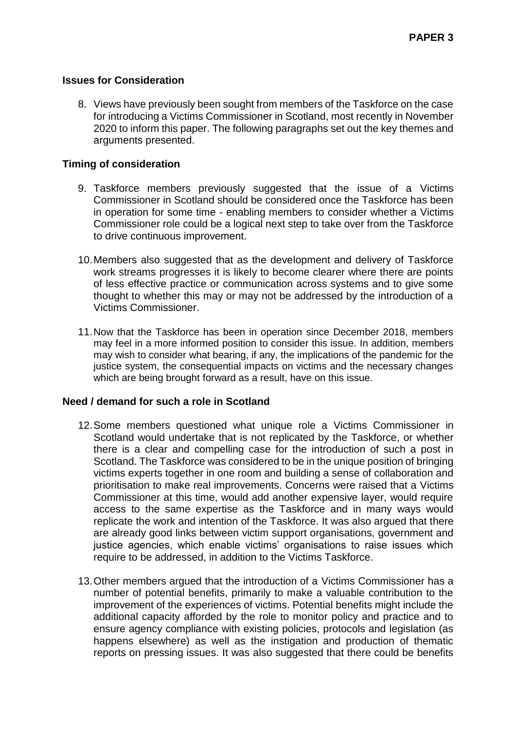#### **Issues for Consideration**

8. Views have previously been sought from members of the Taskforce on the case for introducing a Victims Commissioner in Scotland, most recently in November 2020 to inform this paper. The following paragraphs set out the key themes and arguments presented.

#### **Timing of consideration**

- 9. Taskforce members previously suggested that the issue of a Victims Commissioner in Scotland should be considered once the Taskforce has been in operation for some time - enabling members to consider whether a Victims Commissioner role could be a logical next step to take over from the Taskforce to drive continuous improvement.
- 10.Members also suggested that as the development and delivery of Taskforce work streams progresses it is likely to become clearer where there are points of less effective practice or communication across systems and to give some thought to whether this may or may not be addressed by the introduction of a Victims Commissioner.
- 11.Now that the Taskforce has been in operation since December 2018, members may feel in a more informed position to consider this issue. In addition, members may wish to consider what bearing, if any, the implications of the pandemic for the justice system, the consequential impacts on victims and the necessary changes which are being brought forward as a result, have on this issue.

#### **Need / demand for such a role in Scotland**

- 12.Some members questioned what unique role a Victims Commissioner in Scotland would undertake that is not replicated by the Taskforce, or whether there is a clear and compelling case for the introduction of such a post in Scotland. The Taskforce was considered to be in the unique position of bringing victims experts together in one room and building a sense of collaboration and prioritisation to make real improvements. Concerns were raised that a Victims Commissioner at this time, would add another expensive layer, would require access to the same expertise as the Taskforce and in many ways would replicate the work and intention of the Taskforce. It was also argued that there are already good links between victim support organisations, government and justice agencies, which enable victims' organisations to raise issues which require to be addressed, in addition to the Victims Taskforce.
- 13.Other members argued that the introduction of a Victims Commissioner has a number of potential benefits, primarily to make a valuable contribution to the improvement of the experiences of victims. Potential benefits might include the additional capacity afforded by the role to monitor policy and practice and to ensure agency compliance with existing policies, protocols and legislation (as happens elsewhere) as well as the instigation and production of thematic reports on pressing issues. It was also suggested that there could be benefits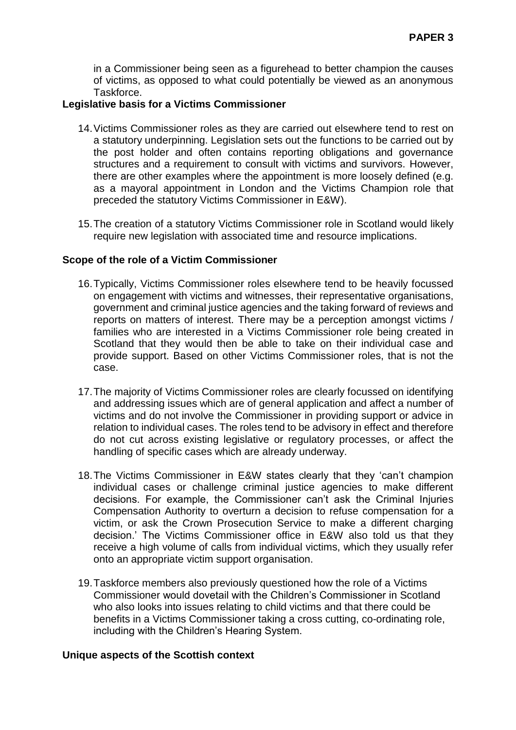in a Commissioner being seen as a figurehead to better champion the causes of victims, as opposed to what could potentially be viewed as an anonymous Taskforce.

#### **Legislative basis for a Victims Commissioner**

- 14.Victims Commissioner roles as they are carried out elsewhere tend to rest on a statutory underpinning. Legislation sets out the functions to be carried out by the post holder and often contains reporting obligations and governance structures and a requirement to consult with victims and survivors. However, there are other examples where the appointment is more loosely defined (e.g. as a mayoral appointment in London and the Victims Champion role that preceded the statutory Victims Commissioner in E&W).
- 15.The creation of a statutory Victims Commissioner role in Scotland would likely require new legislation with associated time and resource implications.

#### **Scope of the role of a Victim Commissioner**

- 16.Typically, Victims Commissioner roles elsewhere tend to be heavily focussed on engagement with victims and witnesses, their representative organisations, government and criminal justice agencies and the taking forward of reviews and reports on matters of interest. There may be a perception amongst victims / families who are interested in a Victims Commissioner role being created in Scotland that they would then be able to take on their individual case and provide support. Based on other Victims Commissioner roles, that is not the case.
- 17.The majority of Victims Commissioner roles are clearly focussed on identifying and addressing issues which are of general application and affect a number of victims and do not involve the Commissioner in providing support or advice in relation to individual cases. The roles tend to be advisory in effect and therefore do not cut across existing legislative or regulatory processes, or affect the handling of specific cases which are already underway.
- 18.The Victims Commissioner in E&W states clearly that they 'can't champion individual cases or challenge criminal justice agencies to make different decisions. For example, the Commissioner can't ask the Criminal Injuries Compensation Authority to overturn a decision to refuse compensation for a victim, or ask the Crown Prosecution Service to make a different charging decision.' The Victims Commissioner office in E&W also told us that they receive a high volume of calls from individual victims, which they usually refer onto an appropriate victim support organisation.
- 19.Taskforce members also previously questioned how the role of a Victims Commissioner would dovetail with the Children's Commissioner in Scotland who also looks into issues relating to child victims and that there could be benefits in a Victims Commissioner taking a cross cutting, co-ordinating role, including with the Children's Hearing System.

#### **Unique aspects of the Scottish context**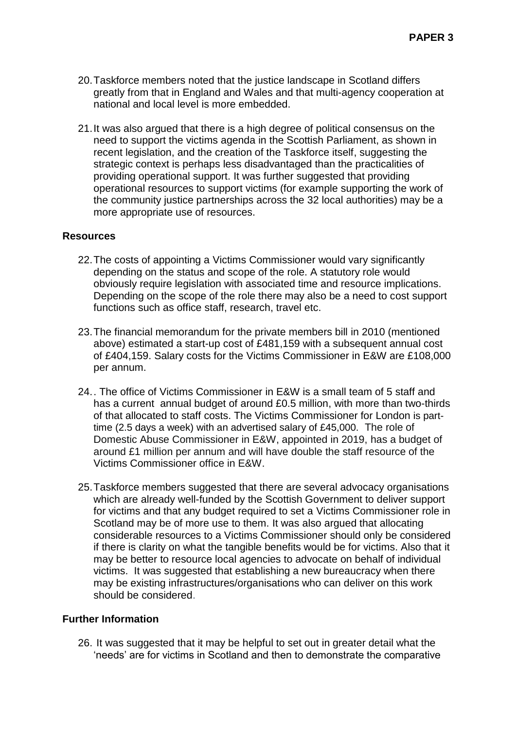- 20.Taskforce members noted that the justice landscape in Scotland differs greatly from that in England and Wales and that multi-agency cooperation at national and local level is more embedded.
- 21.It was also argued that there is a high degree of political consensus on the need to support the victims agenda in the Scottish Parliament, as shown in recent legislation, and the creation of the Taskforce itself, suggesting the strategic context is perhaps less disadvantaged than the practicalities of providing operational support. It was further suggested that providing operational resources to support victims (for example supporting the work of the community justice partnerships across the 32 local authorities) may be a more appropriate use of resources.

#### **Resources**

- 22.The costs of appointing a Victims Commissioner would vary significantly depending on the status and scope of the role. A statutory role would obviously require legislation with associated time and resource implications. Depending on the scope of the role there may also be a need to cost support functions such as office staff, research, travel etc.
- 23.The financial memorandum for the private members bill in 2010 (mentioned above) estimated a start-up cost of £481,159 with a subsequent annual cost of £404,159. Salary costs for the Victims Commissioner in E&W are £108,000 per annum.
- 24.. The office of Victims Commissioner in E&W is a small team of 5 staff and has a current annual budget of around £0.5 million, with more than two-thirds of that allocated to staff costs. The Victims Commissioner for London is parttime (2.5 days a week) with an advertised salary of £45,000. The role of Domestic Abuse Commissioner in E&W, appointed in 2019, has a budget of around £1 million per annum and will have double the staff resource of the Victims Commissioner office in E&W.
- 25.Taskforce members suggested that there are several advocacy organisations which are already well-funded by the Scottish Government to deliver support for victims and that any budget required to set a Victims Commissioner role in Scotland may be of more use to them. It was also argued that allocating considerable resources to a Victims Commissioner should only be considered if there is clarity on what the tangible benefits would be for victims. Also that it may be better to resource local agencies to advocate on behalf of individual victims. It was suggested that establishing a new bureaucracy when there may be existing infrastructures/organisations who can deliver on this work should be considered.

#### **Further Information**

26. It was suggested that it may be helpful to set out in greater detail what the 'needs' are for victims in Scotland and then to demonstrate the comparative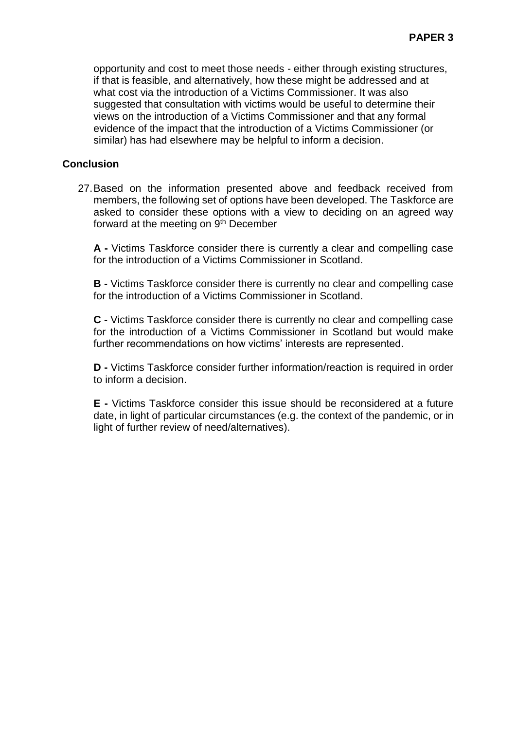opportunity and cost to meet those needs - either through existing structures, if that is feasible, and alternatively, how these might be addressed and at what cost via the introduction of a Victims Commissioner. It was also suggested that consultation with victims would be useful to determine their views on the introduction of a Victims Commissioner and that any formal evidence of the impact that the introduction of a Victims Commissioner (or similar) has had elsewhere may be helpful to inform a decision.

## **Conclusion**

27.Based on the information presented above and feedback received from members, the following set of options have been developed. The Taskforce are asked to consider these options with a view to deciding on an agreed way forward at the meeting on  $9<sup>th</sup>$  December

**A -** Victims Taskforce consider there is currently a clear and compelling case for the introduction of a Victims Commissioner in Scotland.

**B -** Victims Taskforce consider there is currently no clear and compelling case for the introduction of a Victims Commissioner in Scotland.

**C -** Victims Taskforce consider there is currently no clear and compelling case for the introduction of a Victims Commissioner in Scotland but would make further recommendations on how victims' interests are represented.

**D -** Victims Taskforce consider further information/reaction is required in order to inform a decision.

**E -** Victims Taskforce consider this issue should be reconsidered at a future date, in light of particular circumstances (e.g. the context of the pandemic, or in light of further review of need/alternatives).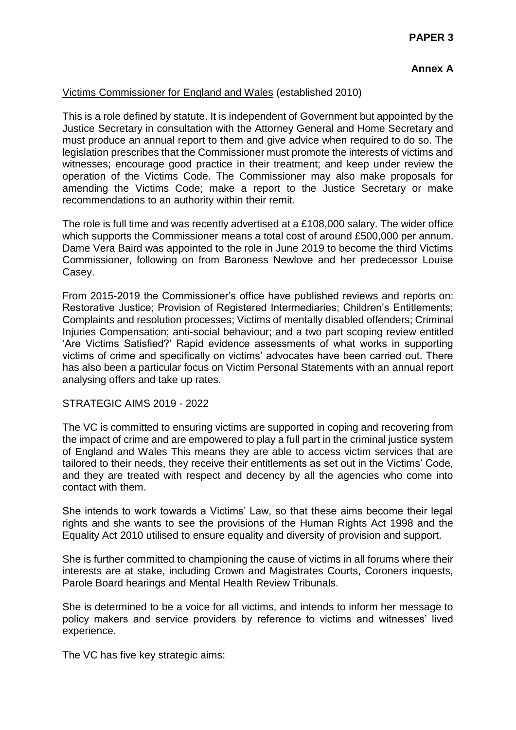# **Annex A**

# Victims Commissioner for England and Wales (established 2010)

This is a role defined by statute. It is independent of Government but appointed by the Justice Secretary in consultation with the Attorney General and Home Secretary and must produce an annual report to them and give advice when required to do so. The legislation prescribes that the Commissioner must promote the interests of victims and witnesses; encourage good practice in their treatment; and keep under review the operation of the Victims Code. The Commissioner may also make proposals for amending the Victims Code; make a report to the Justice Secretary or make recommendations to an authority within their remit.

The role is full time and was recently advertised at a £108,000 salary. The wider office which supports the Commissioner means a total cost of around £500,000 per annum. Dame Vera Baird was appointed to the role in June 2019 to become the third Victims Commissioner, following on from Baroness Newlove and her predecessor Louise Casey.

From 2015-2019 the Commissioner's office have published reviews and reports on: Restorative Justice; Provision of Registered Intermediaries; Children's Entitlements; Complaints and resolution processes; Victims of mentally disabled offenders; Criminal Injuries Compensation; anti-social behaviour; and a two part scoping review entitled 'Are Victims Satisfied?' Rapid evidence assessments of what works in supporting victims of crime and specifically on victims' advocates have been carried out. There has also been a particular focus on Victim Personal Statements with an annual report analysing offers and take up rates.

#### STRATEGIC AIMS 2019 - 2022

The VC is committed to ensuring victims are supported in coping and recovering from the impact of crime and are empowered to play a full part in the criminal justice system of England and Wales This means they are able to access victim services that are tailored to their needs, they receive their entitlements as set out in the Victims' Code, and they are treated with respect and decency by all the agencies who come into contact with them.

She intends to work towards a Victims' Law, so that these aims become their legal rights and she wants to see the provisions of the Human Rights Act 1998 and the Equality Act 2010 utilised to ensure equality and diversity of provision and support.

She is further committed to championing the cause of victims in all forums where their interests are at stake, including Crown and Magistrates Courts, Coroners inquests, Parole Board hearings and Mental Health Review Tribunals.

She is determined to be a voice for all victims, and intends to inform her message to policy makers and service providers by reference to victims and witnesses' lived experience.

The VC has five key strategic aims: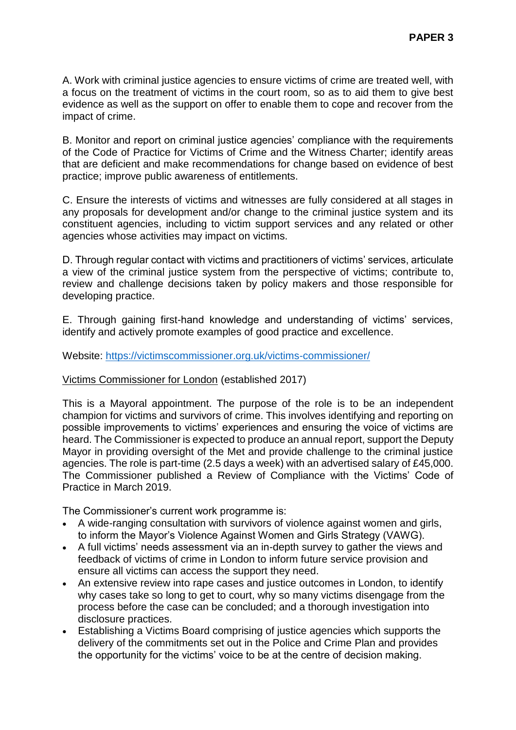A. Work with criminal justice agencies to ensure victims of crime are treated well, with a focus on the treatment of victims in the court room, so as to aid them to give best evidence as well as the support on offer to enable them to cope and recover from the impact of crime.

B. Monitor and report on criminal justice agencies' compliance with the requirements of the Code of Practice for Victims of Crime and the Witness Charter; identify areas that are deficient and make recommendations for change based on evidence of best practice; improve public awareness of entitlements.

C. Ensure the interests of victims and witnesses are fully considered at all stages in any proposals for development and/or change to the criminal justice system and its constituent agencies, including to victim support services and any related or other agencies whose activities may impact on victims.

D. Through regular contact with victims and practitioners of victims' services, articulate a view of the criminal justice system from the perspective of victims; contribute to, review and challenge decisions taken by policy makers and those responsible for developing practice.

E. Through gaining first-hand knowledge and understanding of victims' services, identify and actively promote examples of good practice and excellence.

Website:<https://victimscommissioner.org.uk/victims-commissioner/>

## Victims Commissioner for London (established 2017)

This is a Mayoral appointment. The purpose of the role is to be an independent champion for victims and survivors of crime. This involves identifying and reporting on possible improvements to victims' experiences and ensuring the voice of victims are heard. The Commissioner is expected to produce an annual report, support the Deputy Mayor in providing oversight of the Met and provide challenge to the criminal justice agencies. The role is part-time (2.5 days a week) with an advertised salary of £45,000. The Commissioner published a Review of Compliance with the Victims' Code of Practice in March 2019.

The Commissioner's current work programme is:

- A wide-ranging consultation with survivors of violence against women and girls, to inform the Mayor's Violence Against Women and Girls Strategy (VAWG).
- A full victims' needs assessment via an in-depth survey to gather the views and feedback of victims of crime in London to inform future service provision and ensure all victims can access the support they need.
- An extensive review into rape cases and justice outcomes in London, to identify why cases take so long to get to court, why so many victims disengage from the process before the case can be concluded; and a thorough investigation into disclosure practices.
- Establishing a Victims Board comprising of justice agencies which supports the delivery of the commitments set out in the Police and Crime Plan and provides the opportunity for the victims' voice to be at the centre of decision making.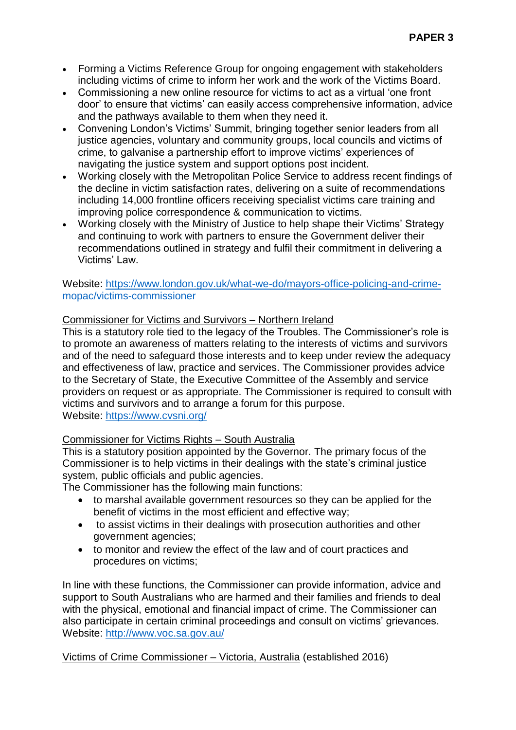- Forming a Victims Reference Group for ongoing engagement with stakeholders including victims of crime to inform her work and the work of the Victims Board.
- Commissioning a new online resource for victims to act as a virtual 'one front door' to ensure that victims' can easily access comprehensive information, advice and the pathways available to them when they need it.
- Convening London's Victims' Summit, bringing together senior leaders from all justice agencies, voluntary and community groups, local councils and victims of crime, to galvanise a partnership effort to improve victims' experiences of navigating the justice system and support options post incident.
- Working closely with the Metropolitan Police Service to address recent findings of the decline in victim satisfaction rates, delivering on a suite of recommendations including 14,000 frontline officers receiving specialist victims care training and improving police correspondence & communication to victims.
- Working closely with the Ministry of Justice to help shape their Victims' Strategy and continuing to work with partners to ensure the Government deliver their recommendations outlined in strategy and fulfil their commitment in delivering a Victims' Law.

# Website: [https://www.london.gov.uk/what-we-do/mayors-office-policing-and-crime](https://www.london.gov.uk/what-we-do/mayors-office-policing-and-crime-mopac/victims-commissioner)[mopac/victims-commissioner](https://www.london.gov.uk/what-we-do/mayors-office-policing-and-crime-mopac/victims-commissioner)

# Commissioner for Victims and Survivors – Northern Ireland

This is a statutory role tied to the legacy of the Troubles. The Commissioner's role is to promote an awareness of matters relating to the interests of victims and survivors and of the need to safeguard those interests and to keep under review the adequacy and effectiveness of law, practice and services. The Commissioner provides advice to the Secretary of State, the Executive Committee of the Assembly and service providers on request or as appropriate. The Commissioner is required to consult with victims and survivors and to arrange a forum for this purpose. Website:<https://www.cvsni.org/>

## Commissioner for Victims Rights – South Australia

This is a statutory position appointed by the Governor. The primary focus of the Commissioner is to help victims in their dealings with the state's criminal justice system, public officials and public agencies.

The Commissioner has the following main functions:

- to marshal available government resources so they can be applied for the benefit of victims in the most efficient and effective way;
- to assist victims in their dealings with prosecution authorities and other government agencies;
- to monitor and review the effect of the law and of court practices and procedures on victims;

In line with these functions, the Commissioner can provide information, advice and support to South Australians who are harmed and their families and friends to deal with the physical, emotional and financial impact of crime. The Commissioner can also participate in certain criminal proceedings and consult on victims' grievances. Website:<http://www.voc.sa.gov.au/>

## Victims of Crime Commissioner – Victoria, Australia (established 2016)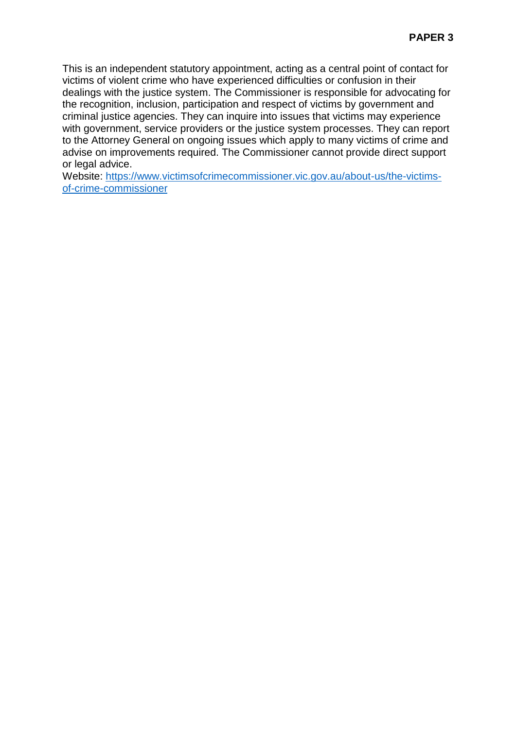This is an independent statutory appointment, acting as a central point of contact for victims of violent crime who have experienced difficulties or confusion in their dealings with the justice system. The Commissioner is responsible for advocating for the recognition, inclusion, participation and respect of victims by government and criminal justice agencies. They can inquire into issues that victims may experience with government, service providers or the justice system processes. They can report to the Attorney General on ongoing issues which apply to many victims of crime and advise on improvements required. The Commissioner cannot provide direct support or legal advice.

Website: [https://www.victimsofcrimecommissioner.vic.gov.au/about-us/the-victims](https://www.victimsofcrimecommissioner.vic.gov.au/about-us/the-victims-of-crime-commissioner)[of-crime-commissioner](https://www.victimsofcrimecommissioner.vic.gov.au/about-us/the-victims-of-crime-commissioner)